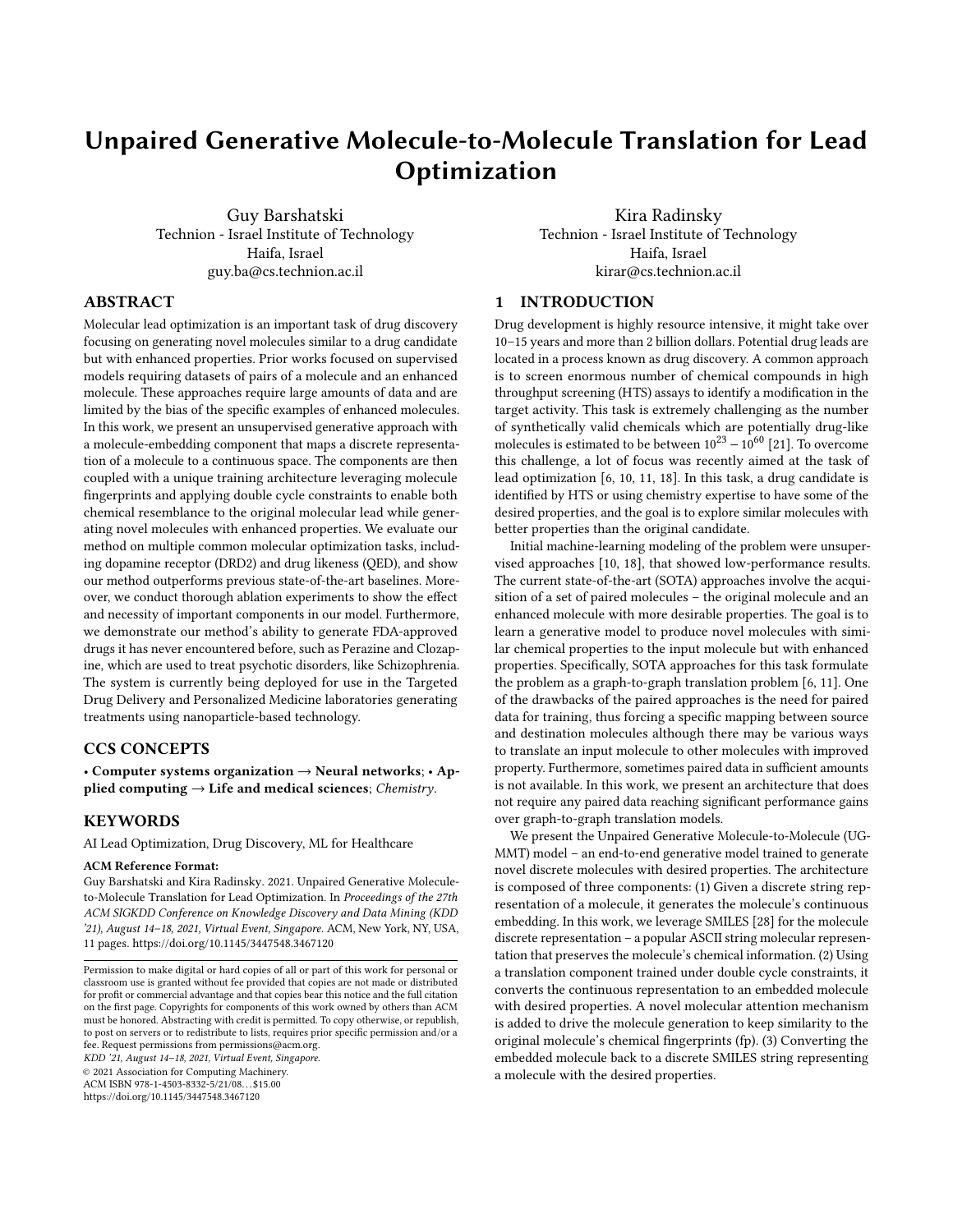# Unpaired Generative Molecule-to-Molecule Translation for Lead Optimization

Guy Barshatski Technion - Israel Institute of Technology Haifa, Israel guy.ba@cs.technion.ac.il

Kira Radinsky Technion - Israel Institute of Technology Haifa, Israel kirar@cs.technion.ac.il

# ABSTRACT

Molecular lead optimization is an important task of drug discovery focusing on generating novel molecules similar to a drug candidate but with enhanced properties. Prior works focused on supervised models requiring datasets of pairs of a molecule and an enhanced molecule. These approaches require large amounts of data and are limited by the bias of the specific examples of enhanced molecules. In this work, we present an unsupervised generative approach with a molecule-embedding component that maps a discrete representation of a molecule to a continuous space. The components are then coupled with a unique training architecture leveraging molecule fingerprints and applying double cycle constraints to enable both chemical resemblance to the original molecular lead while generating novel molecules with enhanced properties. We evaluate our method on multiple common molecular optimization tasks, including dopamine receptor (DRD2) and drug likeness (QED), and show our method outperforms previous state-of-the-art baselines. Moreover, we conduct thorough ablation experiments to show the effect and necessity of important components in our model. Furthermore, we demonstrate our method's ability to generate FDA-approved drugs it has never encountered before, such as Perazine and Clozapine, which are used to treat psychotic disorders, like Schizophrenia. The system is currently being deployed for use in the Targeted Drug Delivery and Personalized Medicine laboratories generating treatments using nanoparticle-based technology.

## CCS CONCEPTS

• Computer systems organization  $\rightarrow$  Neural networks; • Applied computing  $\rightarrow$  Life and medical sciences; Chemistry.

## **KEYWORDS**

AI Lead Optimization, Drug Discovery, ML for Healthcare

#### ACM Reference Format:

Guy Barshatski and Kira Radinsky. 2021. Unpaired Generative Moleculeto-Molecule Translation for Lead Optimization. In Proceedings of the 27th ACM SIGKDD Conference on Knowledge Discovery and Data Mining (KDD '21), August 14–18, 2021, Virtual Event, Singapore. ACM, New York, NY, USA, [11](#page-10-0) pages.<https://doi.org/10.1145/3447548.3467120>

KDD '21, August 14–18, 2021, Virtual Event, Singapore.

© 2021 Association for Computing Machinery.

ACM ISBN 978-1-4503-8332-5/21/08. . . \$15.00

<https://doi.org/10.1145/3447548.3467120>

# 1 INTRODUCTION

Drug development is highly resource intensive, it might take over 10–15 years and more than 2 billion dollars. Potential drug leads are located in a process known as drug discovery. A common approach is to screen enormous number of chemical compounds in high throughput screening (HTS) assays to identify a modification in the target activity. This task is extremely challenging as the number of synthetically valid chemicals which are potentially drug-like molecules is estimated to be between  $10^{23} - 10^{60}$  [\[21\]](#page-8-0). To overcome this challenge, a lot of focus was recently aimed at the task of lead optimization [\[6,](#page-8-1) [10,](#page-8-2) [11,](#page-8-3) [18\]](#page-8-4). In this task, a drug candidate is identified by HTS or using chemistry expertise to have some of the desired properties, and the goal is to explore similar molecules with better properties than the original candidate.

Initial machine-learning modeling of the problem were unsupervised approaches [\[10,](#page-8-2) [18\]](#page-8-4), that showed low-performance results. The current state-of-the-art (SOTA) approaches involve the acquisition of a set of paired molecules – the original molecule and an enhanced molecule with more desirable properties. The goal is to learn a generative model to produce novel molecules with similar chemical properties to the input molecule but with enhanced properties. Specifically, SOTA approaches for this task formulate the problem as a graph-to-graph translation problem [\[6,](#page-8-1) [11\]](#page-8-3). One of the drawbacks of the paired approaches is the need for paired data for training, thus forcing a specific mapping between source and destination molecules although there may be various ways to translate an input molecule to other molecules with improved property. Furthermore, sometimes paired data in sufficient amounts is not available. In this work, we present an architecture that does not require any paired data reaching significant performance gains over graph-to-graph translation models.

We present the Unpaired Generative Molecule-to-Molecule (UG-MMT) model – an end-to-end generative model trained to generate novel discrete molecules with desired properties. The architecture is composed of three components: (1) Given a discrete string representation of a molecule, it generates the molecule's continuous embedding. In this work, we leverage SMILES [\[28\]](#page-8-5) for the molecule discrete representation – a popular ASCII string molecular representation that preserves the molecule's chemical information. (2) Using a translation component trained under double cycle constraints, it converts the continuous representation to an embedded molecule with desired properties. A novel molecular attention mechanism is added to drive the molecule generation to keep similarity to the original molecule's chemical fingerprints (fp). (3) Converting the embedded molecule back to a discrete SMILES string representing a molecule with the desired properties.

Permission to make digital or hard copies of all or part of this work for personal or classroom use is granted without fee provided that copies are not made or distributed for profit or commercial advantage and that copies bear this notice and the full citation on the first page. Copyrights for components of this work owned by others than ACM must be honored. Abstracting with credit is permitted. To copy otherwise, or republish, to post on servers or to redistribute to lists, requires prior specific permission and/or a fee. Request permissions from permissions@acm.org.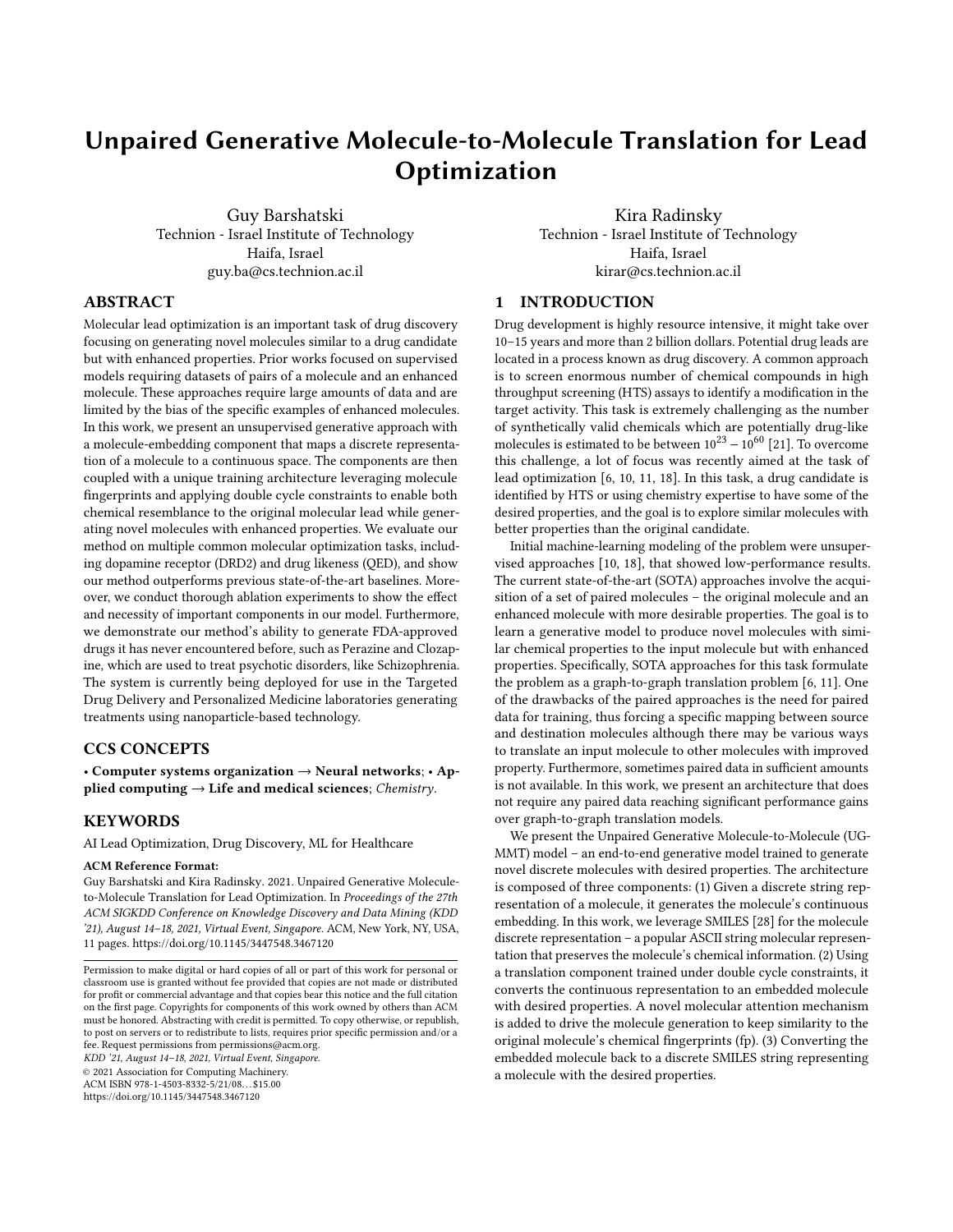<span id="page-1-0"></span>KDD '21, August 14–18, 2021, Virtual Event, Singapore. Guy Barshatski et al.





We perform empirical evaluation of our model on several common lead optimization tasks and present significant performance gains compared to various SOTA. In addition, we conduct comprehensive ablation experiments to further analyse our method. We also present the system ability to generate FDA-approved drugs, although it has never seen a drug before. Figure [1](#page-1-0) presents several such examples. D2 is the main receptor for most antipsychotic drugs [\[27\]](#page-8-6). Any disorder in equilibration of the D2 receptor's states may lead to diverse serious disorders, such as Schizophrenia, autism and Parkinson's disease. DRD2 score is a measure of a molecule's biological activity against a biological target named the dopamine type 2 receptor. As input, our algorithm received a molecule with low DRD2 score and the goal was to generate a molecule with higher DRD2 score. All drugs have never been seen by our model during training, nor validation. In Fig. [1A](#page-1-0), given Alimemazine (DRD2 score 0.3749), the algorithm generated Perazine (DRD2 score 0.6184) reaching 40% fingerprint similarity to Alimemazine. Both drugs are phenothiazine derivatives and structurally related to Chlorpromazine, older remedy for Schizophrenia. In Fig. [1B](#page-1-0), Clozapine was generated using the prototype drug Anagrelide with 20.96% similarity and DRD2 score improvement from 0.0009 to 0.8412. Clozapine is used for treatment-resistant Schizophrenia and is on the World Health Organization's list of "essential, safest and most effective medicines" [\[19\]](#page-8-7). Interestingly, all drugs generated by our model to improve DRD2 score are indeed antipsychotic drugs.

The contributions of this work are threefold: (1) We design a novel unsupervised end-to-end generative model and a unique double-cycle training scheme for molecule translation preserving molecule similarity using molecular fp utilization, without the need of a large paired dataset; (2) We present empirical results on the DRD2 (dopamine receptor) and QED (drug likeness) properties and demonstrate superior performance over SOTA baselines in generating novel, chemically similar molecules with higher property scores and success rates; (3) We perform retrospective experiments to demonstrate our model's ability to produce FDA approved drugs, it has never seen before. Additionally, in collaboration with the Technion laboratory for targeted drug delivery and personalized medicine technologies, additional generated molecules are being tested today for impact for personalized treatments. We believe our method lays the foundations to an automatic-algorithmic HTS

process to enable lead optimizations. All code and data in this work are published on our GitHub $^1$  $^1$  for further research.

# 2 RELATED WORK

Early work formulated molecule generation as a sequence generation problem. Molecules were represented as a sequence of characters. Most commonly, SMILES notation was used and showed merit for this task [\[5,](#page-8-8) [7,](#page-8-9) [8,](#page-8-10) [15\]](#page-8-11). The aim of these works was to generate valid molecules rather than molecular optimization. Applying these models naively for the latter has yielded poor performance [\[6\]](#page-8-1).

Molecular optimization methods mainly focused on graph-tograph translation methods. Those represent molecules as graphs and try to translate input molecular graphs into improved graphs. Jin et al. [\[10\]](#page-8-2) suggest an encoder-decoder architecture, JTVAE. Given input molecule's graph, the encoder generates a tree where each node represents molecule's substructure, then embeds both to get the latent representation. The decoder reproduces the tree and uses it to predict the output molecular graph. Optimization is done by first training a property score predictor on top of JTVAE's latent space, then gradient ascent is applied on input molecule's embedding to improve its score. Maziarka et al. [\[18\]](#page-8-4) present Mol-CG as an extension of JTVAE. Instead of using gradient ascent, the model splits the embedded molecules to two distinct sets – with and without the enhanced property. Two sets of generators and discriminators are applied in an adversarial manner introduced by Zhu et al. [\[31\]](#page-8-12) to perform the optimization. At test time, the generated embeddings are decoded back to molecules using the same JTVAE latent space decoder. Although showing initial success, the results were not sufficient for practical molecular optimization. To improve the performance, numerous supervised methods have been suggested requiring substantial amount of training data. Jin et al. [\[11\]](#page-8-3) extended JTVAE by presenting attention mechanism during the tree decoding procedure and integrating adversarial training to further improve performance and thus generate molecules with improved desired property. Fu et al. [\[6\]](#page-8-1) (CORE) extended the above by introducing the copy&refine technique where the generator at each step decides whether to copy the next substructure from the input molecule or to generate a new substructure. This relaxes the

<span id="page-1-1"></span><sup>1</sup><https://github.com/guy-ba/UGMMT>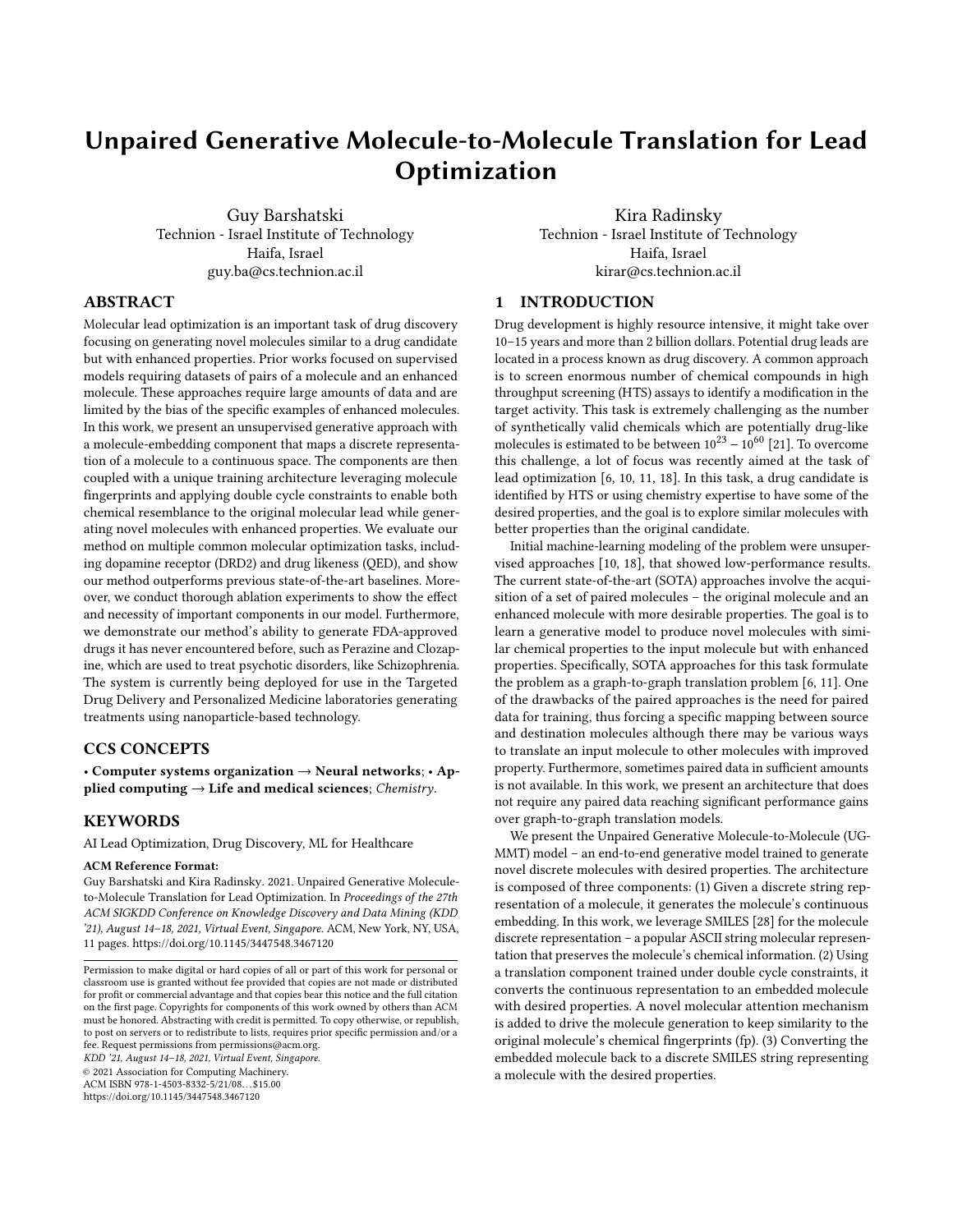<span id="page-2-2"></span>

Figure 2: METN. Left: Discrete molecule domain Y represented by SMILES strings. Right: Molecule's continuous representation space  $\dot{Y} Y$  *i*, i.e. embedding.

problem of challenging substructure prediction from a large set in every iteration, which is especially problematic for infrequent substructures. These approaches require paired data for training, thus forcing a specific mapping between source and destination molecules although there may be various ways to translate an input molecule to other molecule with an improved property. Furthermore, sometimes paired data in sufficient amounts is not available. In this work, we will present an unsupervised approach, requiring no paired-data, which reaches SOTA results outperforming the supervised paired-approaches. We present a novel architecture which does not rely on molecular graph structures, but rather leverages raw SMILES representations, embeds them and learns to efficiently translate them using a novel molecular attention driven by molecular fp to an optimized SMILES molecule.

# 3 METHODS

We denote a domain of molecules by a capital Latin letter, e.g.  $X$ , their distribution by  $p(X)$ , and a molecule taken from this domain by a small Latin letter, x. That is,  $x \in X$  denotes x is a sample of molecules taken from domain *X* and consequently  $x \sim p(X)$ . Similarly, we denote the embedding vector of a molecule x by  $\hat{Y}x_i$ . It belongs to the domain of all the embedded molecules of  $X$ , which we denote by  $\ddot{Y}X_i$  with a distribution  $p(\ddot{Y}X_i)$ . Given a domain  $A$  of input molecules with some property and distribution  $p(A)$ , and a domain of the enhanced molecules, B, with distribution  $p(B)$  our goal is to learn a mapping  $M : A \rightarrow B'$ , s.t. the distribution of molecules  $B' = M(A), p(B')$ , is indistinguishable from the distribution  $p(B)$ . To achieve it and guarantee that the input molecule  $a \sim p(A)$  and output  $b' = M(a) \sim p(B')$  carry chemical molecular similarity, we enforce double cycle constraints, that share common translation components strongly relying on molecular fp. This procedure can be applied if molecules are represented in a continuous space. We therefore first present a Molecule-Embedding translation, where a discrete molecule's SMILES representation is transformed to an embedding and vice-versa (Section [3.1\)](#page-2-0). We then present the Embedding-Embedding translation where embedded prototype molecule is translated to an embedded desired molecule and vice-versa (Section [3.2\)](#page-2-1). Lastly, we provide the overall end-toend architecture of our model (Section [3.3\)](#page-3-0).

# <span id="page-2-0"></span>3.1 Molecule-Embedding Translation Network (METN)

We propose METN to translate between molecule's discrete SMILES representation and its continuous representation, i.e., embedding.

<span id="page-2-3"></span>

| <b>Algorithm 1</b> METN Training Algorithm. |                                                         |  |  |  |  |
|---------------------------------------------|---------------------------------------------------------|--|--|--|--|
|                                             | <b>Input:</b> training set of molecules Y.              |  |  |  |  |
|                                             | 1: for epoch = 1, 2, , $E_{METN}$ do                    |  |  |  |  |
| 2:                                          | Sample mini-batche $y \in Y$                            |  |  |  |  |
| 3:                                          | $\hat{Y} y_i = Encoder(y)$                              |  |  |  |  |
| 4:                                          | $y' = Decoder(Y y_i)$                                   |  |  |  |  |
| 5:                                          | $L = \lambda_0 \cdot CE(y', y) + KL(Y' y_i    N(0, I))$ |  |  |  |  |
| 6:                                          | Minimize L using Adam optimizer                         |  |  |  |  |
|                                             | $7:$ end for                                            |  |  |  |  |

The general structure is depicted in Figure [2.](#page-2-2) Given a molecule's SMILES representation (denoted by  $y \in Y$ ), an encoder generates its embedding (denoted by  $\ddot{Y}y_j \in \ddot{Y}Y_j$ ) and a decoder reverts the process – generating molecule's SMILES string given its embedding. This network is based on Variational Auto Encoder (VAE) [\[14\]](#page-8-13) structure with a bidirectional GRU-based encoder and a multilayered GRU-based decoder [\[3\]](#page-8-14) creating a sequence-to-sequence translation trained using the teacher-forcing method [\[29\]](#page-8-15) in order to increase validity. VAEs add stochasticity to the generation process adding variation to the latent representation learning and thus forcing the decoder to learn how to decode a wide range of latent points better suiting for embeddings. In addition, to make the latent space dense, a KL divergence term is added to the loss function, encouraging the encoder to distribute molecule encodings according to a known prior distribution. METN's training algorithm is shown in Algorithm [1.](#page-2-3)  $\lambda_0$  is a regularization parameter, CE is the cross-entropy loss (reconstruction loss), KL is the KL-divergence (has close form in this case of normal distribution) and the loss is averaged over the number of samples in the mini-batch. In our system, we have two input molecule domains,  $A$  and  $B$ . Embedding all the molecules using only one METN would make the overall model training and convergence more difficult yielding worse results since the latent embedding space would not only have to represent molecular similarity but also molecule property. Hence, we enable "domain embedding specialization" by training two METNs, one for each domain as depicted in Figure [3.](#page-3-1) We denote domain  $A$ encoder as  $En_A$ . The encoder, given a molecule  $a \in A$ , generates its embedding  $\ddot{Y}a_j \in \ddot{Y}A_j$  (a continuous vector), while the decoder,  $De<sub>A</sub>$ , converts molecule continuous embedding  $\ddot{Y} a' \dot{Y} \in \ddot{Y} A' \dot{Y}$ to its SMILES  $a' \in A'$ . We expect that  $a' \sim p(A)$ , i.e., a' has domain's A property or alternatively, the distribution of the decoded molecules domain  $A', p(A')$ , is indistinguishable from  $p(A)$ . Similar notations are used for domain  $B$ .

# <span id="page-2-1"></span>3.2 Embedding-Embedding Translation Network (EETN)

We propose EETN to translate between embedded molecules that belong to different domains, e.g. low and high DRD2 score. Following our notations, the EETN is composed of two translation networks.  $T_{AB}$  for  $\ddot{Y}A_j \rightarrow \ddot{Y}B'_j$  translation and  $T_{BA}$  for  $\ddot{Y}B_j \rightarrow \ddot{Y}A'_j$ . the opposite direction. Figure [3](#page-3-1) illustrates the architecture. We mark in dotted lines the training paths and in thick lines the inference paths. Our design for the EETN allows it to meet two main goals – property enhancement and preservation of the input-output molecular similarity. Given  $\hat{Y}a_j$ , the EETN attempts to produce an embedded molecule  $\ddot{Y} b'$  *i*, s.t.  $b' = De_B(\ddot{Y} b'$  *i*) ~  $p(B)$ ,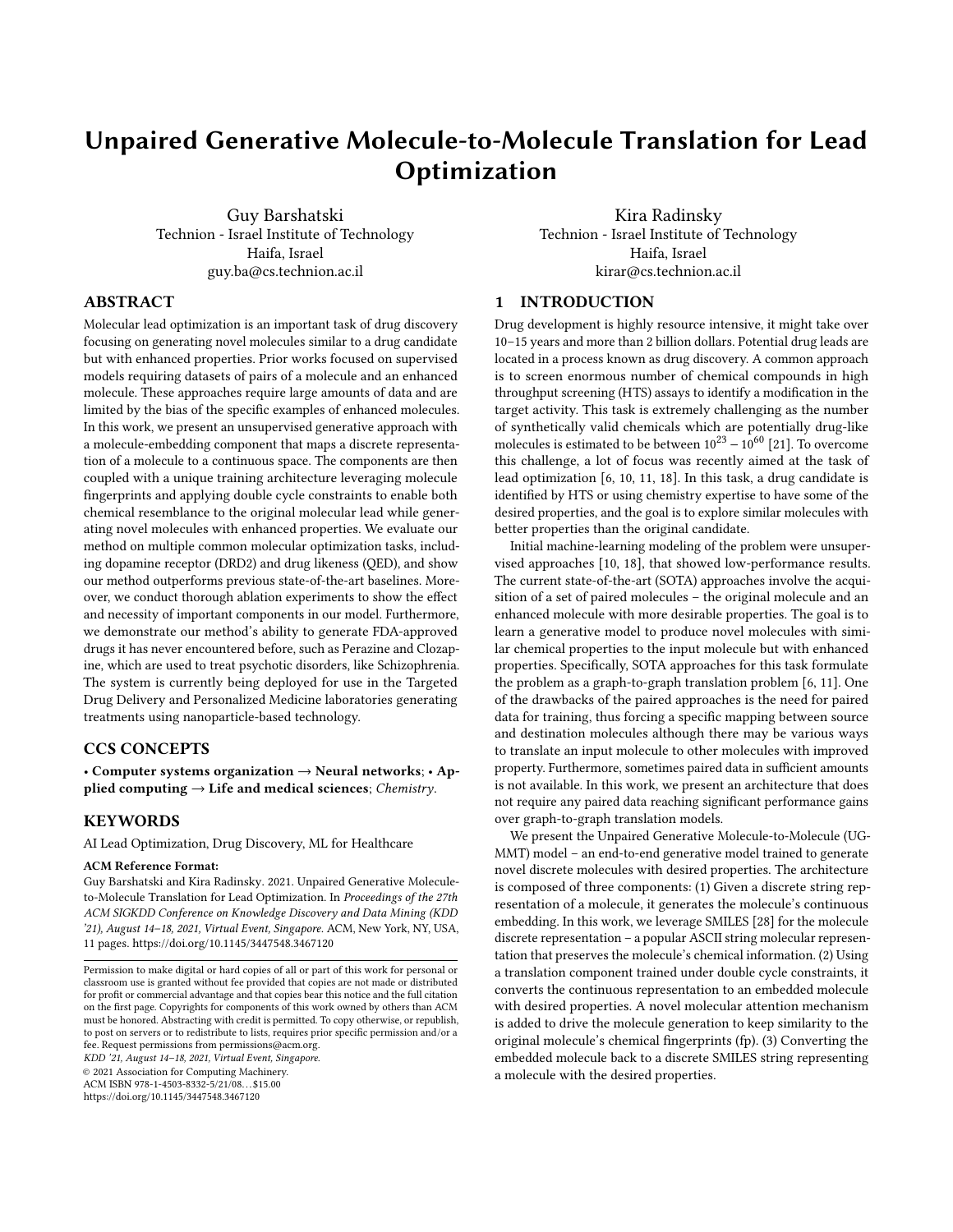i.e., b' has domain's B enhanced property (e.g. high DRD2 score). De<sub>B</sub> must be able to successfully decode  $\ddot{Y}$   $\dot{b}'$  *i* and  $T_{AB}$  must successfully translate  $\ddot{Y}a_j \in \ddot{Y}A_j$  into  $\ddot{Y}b'j$ . During training, naively applying on  $a$  the sequence of components on the thick lines  $(En_A \rightarrow T_{AB} \rightarrow De_B)$  would not be successful.  $De_B$  is not necessarily producing valid molecules, therefore calculating their property score is not feasible. Furthermore, molecule's property calculation is not differentiable, hence penalizing molecule's property is not feasible for valid molecules as well. Therefore during training, we apply the sequence  $En_B \rightarrow T_{BA} \rightarrow T_{AB} \rightarrow De_B$  (purple dotted path) on b. Requiring  $b' \approx b$  might successfully train  $\overline{De}_B$ , however  $T_{BA}$  would produce embedded molecules in domain  $\ddot{Y}A'$  ; which may be distributed differently from  $\ddot{Y}A$  *i*. Hence, we train two translation components simultaneously. In each iteration we train by applying two semi-shared sequences of components on the inputs *a* and *b*. We apply the sequence  $En_B \rightarrow T_{BA} \rightarrow T_{AB} \rightarrow De_B$ (purple dotted path) on  $b$  and  $En_A \rightarrow T_{AB} \rightarrow T_{BA} \rightarrow De_A$  (red dotted path) on a and require  $b' \approx b$ , and  $a' \approx a$ . This coupling between the two translation sequences sharing  $T_{AB}$  and  $T_{BA}$ , where one's output is the other's input, encourages proximity of the distribution of  $\hat{Y}A$  *i* and  $\hat{Y}A'$  *i*. Intuitively, if  $T_{BA}$  translates  $\hat{Y}b$  *i*  $\in \hat{Y}B$  *i* to  $\overline{Y}a'$  *i*  $8\overline{Y}A$  *i* then  $T_{AB}$  (trained to translate  $\overline{Y}a$  *i*  $\in \overline{Y}A$  *i* ) will perform poorly on the input  $\ddot{Y}a'$  *i* and produce  $b'$  notably different from  $b$ , which will be penalized by the loss function. Applying these two sequences on the inputs and demanding input-output proximity constitute our double cycle constraints, which we refer to as double-cycle training scheme. The technique can be considered a dual learning method [\[9\]](#page-8-16), which leverages primal (e.g.  $A \rightarrow B$ ) and dual (e.g.  $B \to A$ ) tasks to create an informative feedback loop.

To encourage similarity to the original molecule, we wish the translation to keep its chemical characteristics. We leverage Morgan fp [\[23\]](#page-8-17) to represent these characteristics. We introduce the input molecule fp to the translators (concatenated with the input embedding) during the training and the inference. As a result, their output latent embedding spaces become fp dependant, encouraging molecules with similar fp to be closely embedded. The translators  $T_{AB}$  and  $T_{BA}$  are designed to create a bottleneck by downsampling followed by upsampling architecture in order to extract vital information while dropping the redundant data. To make this process more efficient we pass the input molecule fp through an attention mechanism of a fully-connected (FC) layer followed by a softmax layer producing a weight vector, which multiplies the fp vector elementwise, highlighting the "important" information inside the fp vector. We refer to this component as molecular attention.

## <span id="page-3-0"></span>3.3 End-to-End Architecture

We introduce the UGMMT– an end-to-end unsupervised generative deep neural network architecture. The architecture is illustrated in Figure [3.](#page-3-1) The architecture consists of two METNs, one for domain  $A$  (blue) and one for domain  $B$  (green), and an EETN (red) for molecular translation. The input molecules are given as discrete SMILES strings, however, EETN's functionality described in Section [3.2](#page-2-1) relies heavily on embedded molecule domains. Therefore, METNs enable converting discrete SMILES strings to continuous representations (embedding) and vise-versa.

<span id="page-3-1"></span>

Figure 3: Molecule-to-Molecule end-to-end architecture. Consists of two METNs (two sets of  $En + De$ ) and an EETN (two Ts). The two training paths are marked with dotted arrows while the inference paths are marked with thick solid arrows.

Training: We pre-train the METNs before training the end-to-end model to enable the preparation of the latent embeddings of domain  $A$  (e.g., low DRD2 scored molecules) and domain  $B$  (e.g., high DRD2 scored molecules) separately. We conjecture this allows the encoders ( $En_A$  and  $En_B$ ) to produce better embeddings and the decoders ( $De<sub>A</sub>$  and  $De<sub>B</sub>$ ) in turn would produce more valid molecules with the enhanced property. Our experiments (Section [5.2\)](#page-6-0) support this hypothesis. We then perform end-to-end training, where the METNs and the EETN are trained together. Intuitively, this allows the embeddings generation and the translation between them to evolve simultaneously to decrease the overall loss. This enables generating a similar molecule with the desired property. The detailed algorithm is presented in Algorithm [2.](#page-4-0) CE is the cross-entropy loss,  $L_1$  and  $L_2$  are the two cycle constraints (Section [3.2\)](#page-2-1) and  $\lambda_1$  is a regularization parameter that controls their relative importance. The loss is averaged over the number of samples in the mini-batch. Inference: Given a SMILES-represented molecule *a* to be enhanced from domain  $A$ , the  $En_A$  converts it to an embedding. The translator  $T_{AB}$  then translates the embedding along with the molecule fp (extracted from original molecule  $a$  using RDkit) to an embedded molecule of domain  $B'$ . Finally,  $De_B$  converts it to a molecule in domain B', represented by a SMILES string. We draw the reader attention that the double cycle constraints enforced during the training process enables bidirectional optimization, i.e., inference from  $B$  to  $A$  as well. Both optimization paths are shown in Figure [3,](#page-3-1)  $A \rightarrow B$  in red thick arrows and  $B \rightarrow A$  in purple thick arrows. Algorithm [3](#page-4-1) presents the inference algorithm for  $A \rightarrow B$  direction  $(B \rightarrow A$  is symmetric).

## 4 EXPERIMENTAL SETTINGS

We provide implementation and hyperparameter details for reproducibility, the datasets we use and the baselines we compare to.

#### 4.1 Implementation Details

Hardware: Nvidia GeForce RTX 2080 Ti 11GB GPU, 2 Intel Xeon Gold 6230 2.10GHZ CPUs, 64GB RAM. Software: Ubuntu 18.04.5, Pytorch 1.4.0 [\[20\]](#page-8-18), Python 3.6.12. Reproducibility: We set seed 50, other seeds yield similar results. Hyper-parameters are set following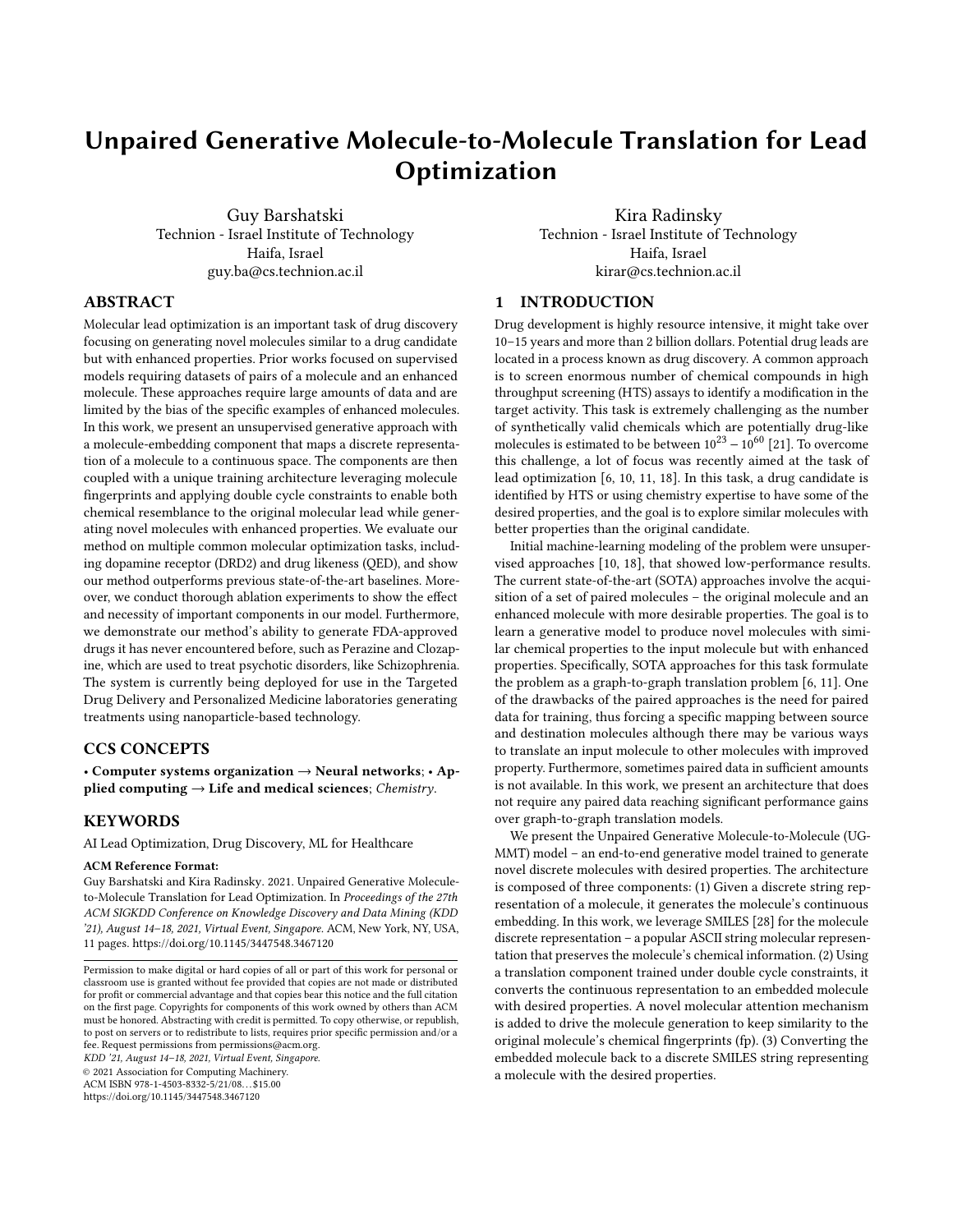Unpaired Generative Molecule-to-Molecule Translation for Lead Optimization Kabust 2002 1, August 14-18, 2021, Virtual Event, Singapore.

<span id="page-4-0"></span>Algorithm 2 UGMMT Training algorithm. Corresponds to both dot-ted paths in Figure [3,](#page-3-1) the red path along  $En_A \rightarrow T_{AB} \rightarrow T_{BA} \rightarrow De_A$ and the purple path along  $\overrightarrow{En_B} \rightarrow T_{BA} \rightarrow T_{AB} \rightarrow De_B$ .

Input:  $A_t$ ,  $B_t$  molecule training sets.  $A_v$  molecule validation set. 1: Train domain's A METN on  $A_t$  for  $E_{METN}$  epochs (Algorithm [1\)](#page-2-3) 2: Train domain's B METN on  $B_t$  for  $E_{METN}$  epochs (Algorithm [1\)](#page-2-3) 3: for  $epoch = 1, 2, \ldots, E_{max}$  do 4: Sample mini-batches  $a \in A_t$ ,  $b \in B_t$ 5:  $\ddot{Y} a \dot{i} = E n_A(a), \ddot{Y} b \dot{i} = E n_B(b)$ 6: Calculate  $fp_a$ ,  $fp_b$ 7:  $\ddot{Y}b'$   $\ddot{i} = T_{AB}(\ddot{Y}a \dot{j}, f p_a)$ 8:  $\ddot{Y}a' = T_{BA}(\ddot{Y}b' + f\dot{p}_a)$ 9:  $a' = De_A(\overleftrightarrow{Y}a')$ 10:  $L_1 = CE(a', a)$ 11:  $\dot{Y} a' = T_{BA} (\dot{Y} b_j, f p_b)$ 12:  $\ddot{Y}b'$   $= T_{AB}(\ddot{Y}a' + f p_b)$ 13:  $b' = De_B(\overline{Y}b' \overline{I})$ 14:  $L_2 = CE(b', b)$ 15:  $L = \lambda_1 \cdot L_1 + L_2$ 16: Minimize  $L$  using Adam optimizer 17: Evaluate the model every  $V_f$  epochs on  $A_v$ 18: if evaluation criterion improves then 19: save model 20: end if 21: if no improvement for  $P$  evaluations then 22: stop training 23: end if 24: end for

<span id="page-4-1"></span>Algorithm 3 UGMMT  $A \rightarrow B$  Inference algorithm. Corresponds to the red thick path along  $En_A \rightarrow T_{AB} \rightarrow De_B$  in Figure [3.](#page-3-1)

**Input:**  $a \in A$  mini-batch of molecules to optimize. 1:  $\ddot{Y}a_j = En_A(a)$ 2: Calculate  $fp_a$ 3:  $\ddot{Y}b'$   $\ddot{I} = \tilde{T}_{AB}(\ddot{Y}a)$   $\ddot{I}$ ,  $fp_a$ )

4:  $b' = D e_B(\overline{Y} b' \overline{I})$ 

evaluation on a validation set, where the optimization metric is the Success criterion defined in Section [5.1.](#page-4-2)

METN: Embedding dimension 256 (experimented with 128, 256, 512),  $\lambda_0$ =10 (experimented with 1, 10, 20), max molecule length during inference 90 (experimented with 80-120). Encoder – bidirectional GRU, hidden dimension 256, followed by 2 FC with 256 neurons, for  $\mu$  and  $\sigma$ . Decoder – FC layer with 512 neurons, followed by 3-layered GRU (experimented with 1-5), dropout 0.5 between layers, hidden dimension 512 and a FC with vocabulary length neu-rons. Training– Adam optimizer [\[13\]](#page-8-19). Initial learning rate  $3 \cdot 10^{-3}$ (experimented with  $1 \cdot 10^{-3}$ -5 $\cdot 10^{-3}$ ), final  $3 \cdot 10^{-4}$  using cosine annealing scheduler with restart [\[17\]](#page-8-20) after 10 epochs. Mini-batch size 32. Pre-trained for  $E_{METN} = 1$  (QED) (experimented with 0-10) or  $E_{METN}$  = 12 (DRD2) (experimented with 0-20) epochs.

EETN: Translator – Bottleneck structure. Conv block (filter size 7), stride-2 conv downsampling block (filter size 3), 4 residual blocks (experimented with 4-8), stride-2 transposed conv upsampling block (filter size 3), conv (filter size 7) followed by Tanh and 2 FC with 1,152 and 256 neurons separated by BN, LeakyReLU and Dropout (0.2). It presented outstanding results in image translation and style transfer tasks [\[12,](#page-8-21) [31\]](#page-8-12).

Whole model training: Adam optimizer, initial learning rate 3 · 10−<sup>4</sup> (experimented with 1·10−<sup>4</sup> -5·10−<sup>4</sup> ) and a linear decay towards 0 from epoch 90 (experimented with 70-100). Mini-batch size 32. Max epochs  $E_{max}$ =120 (experimented with 80-120). Data is shuffled during training. Evaluation frequency  $V_f$ =3, early stopping with  $P=15$  evaluations.  $\lambda_1=2$  (experimented with 1,2,4,8,16). Our code is available publicly (see Appendix A for more details).

# 4.2 Datasets

Following [\[6,](#page-8-1) [11\]](#page-8-3), we focus on two common properties which are vital for generated drug's effectiveness evaluation:

- (1) Dopamine Receptor D2 (DRD2): DRD2 score measures molecule's biological activity against a biological target named the dopamine type 2 receptor.
- (2) Drug likeness (QED): QED score [\[2\]](#page-8-22) measures, intuitively, how "druglike" a molecule is.

We use RDkit [\[16\]](#page-8-23) library to calculate these scores as done by Fu et al. [\[6\]](#page-8-1) in order to preserve comparability. We also use their datasets, which were adapted from Jin et al. [\[11\]](#page-8-3). For UGMMT and Mol-CG we split the train pairs and randomly sample molecules with low property score (DRD2, QED) (lower decimal) for domain  $A$ set and high (high decimal) for  $B$  set. For CDN and JTVAE we merge these two sets to get the final train set. UGMMT's validation set was also randomly sampled from the remaining low score molecules, for other baselines the original validation sets from Fu et al. [\[6\]](#page-8-1) are used. All models are tested on the same test set taken from Fu et al. [\[6\]](#page-8-1). Publicly available DrugBank dataset [\[30\]](#page-8-24), which contains a list of FDA approved drugs, is used for drug generation experiments. We share the datasets publicly and refer to **Appendix B** for details.

# 4.3 Baseline Methods

We compare to SOTA methods for lead optimization. CORE [\[6\]](#page-8-1) is currently regarded as the SOTA, followed by G2G [\[11\]](#page-8-3). Both methods are supervised, using paired train sets. UGMMT method is unsupervised, hence we include the leading unsupervised JTVAE [\[10\]](#page-8-2) and Mol-CG [\[18\]](#page-8-4) methods. Following Fu et al. [\[6\]](#page-8-1), we evaluate the checkpoints on the validation set for highest optimization success (Success), then evaluate on the test set and report the results. All models use datasets which are derived from CORE's datasets with the same test set.

## 5 EXPERIMENTS AND RESULTS

We conduct three main experiments. First, we evaluate our model's ability to generate valid, novel, diverse molecules which have a desired property and share similarity with a prototype and compare it to the current SOTA methods (Section [5.1\)](#page-4-2). Then, we conduct thorough ablation experiments to show the effect and necessity of important components in our model (Section [5.2\)](#page-6-0). Afterwards, we investigate and demonstrate our model's capability to generate FDA approved drugs with enhanced properties (Section [5.3\)](#page-7-0).

#### <span id="page-4-2"></span>5.1 Main Result: Molecule Optimization

Focusing on the  $A \rightarrow B$  optimization direction, for each input test molecule we first generate  $K$  output molecules using  $K$  random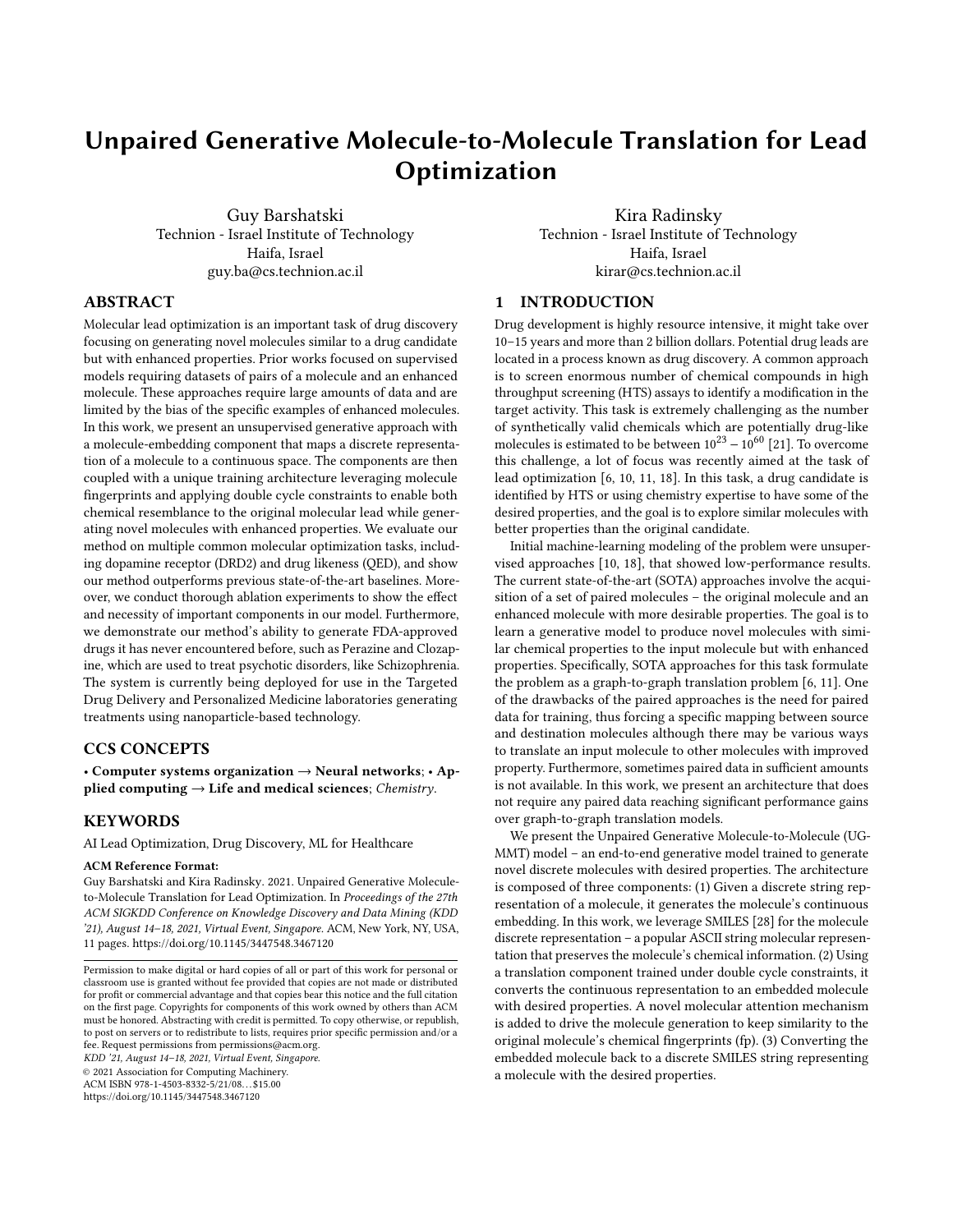<span id="page-5-0"></span>Table 1: Evaluation results of our method and other baselines for various metrics for QED property. In bold: best optimization Success result, statistically significant with huge effect size ( $P$  –  $value$   $\dot{V}$  0.05 and Cohen's  $d$   $i$  2).

|           | Type Method                     | Property                               | Similarity                             | Novelty                                | <b>Success</b>                         | Validity       | Diversity                              |
|-----------|---------------------------------|----------------------------------------|----------------------------------------|----------------------------------------|----------------------------------------|----------------|----------------------------------------|
| Paired    | G <sub>2</sub> G<br><b>CORE</b> | $0.895 \pm 0.001$<br>$0.882 \pm 0.002$ | $0.320 \pm 0.003$<br>$0.339 \pm 0.005$ | $0.953 \pm 0.004$<br>$0.963 \pm 0.006$ | $0.452 \pm 0.010$<br>$0.472 \pm 0.012$ | 1.000<br>1.000 | $0.993 \pm 0.002$<br>$0.997 \pm 0.002$ |
| ್ದ<br>੶ਜ਼ | <b>ITVAE</b><br>Mol-CG          | $0.816 \pm 0.000$<br>$0.783 \pm 0.000$ | $0.304 \pm 0.000$<br>$0.302 \pm 0.000$ | $0.977 \pm 0.000$<br>$0.980 \pm 0.000$ | $0.237 \pm 0.000$<br>$0.170 \pm 0.000$ | 1.000<br>0.998 | $0.996 \pm 0.000$<br>$1.000 \pm 0.000$ |
| Ţщ        | <b>UGMMT</b>                    | $0.855 \pm 0.001$                      | $0.365 \pm 0.003$                      | $0.997 \pm 0.001$                      | $0.513 \pm 0.009$                      | 0.971          | $1.000 \pm 0.000$                      |

<span id="page-5-1"></span>Table 2: Evaluation results of our method and other baselines for various metrics for DRD2 property. In bold: best optimization Success result, statistically significant with huge effect size  $(P - value \ Y \ 0.05$  and Cohen's  $d \neq 2$ ).

|          | Type Method            | Property                               | Similarity                             | Novelty                                | <b>Success</b>                         | Validity       | Diversity                              |
|----------|------------------------|----------------------------------------|----------------------------------------|----------------------------------------|----------------------------------------|----------------|----------------------------------------|
| Paired   | G2G<br><b>CORE</b>     | $0.797 \pm 0.005$<br>$0.758 \pm 0.006$ | $0.330 \pm 0.001$<br>$0.343 \pm 0.002$ | $0.379 \pm 0.006$<br>$0.400 \pm 0.010$ | $0.075 \pm 0.005$<br>$0.087 \pm 0.005$ | 0.999<br>1.000 | $0.657 \pm 0.009$<br>$0.648 \pm 0.010$ |
| Jnpaired | <b>ITVAE</b><br>Mol-CG | $0.340 \pm 0.000$<br>$0.382 \pm 0.000$ | $0.239 \pm 0.000$<br>$0.190 \pm 0.000$ | $0.991 \pm 0.000$<br>$0.992 \pm 0.000$ | $0.033 \pm 0.000$<br>$0.013 \pm 0.000$ | 1.000<br>1.000 | $0.989 \pm 0.000$<br>$0.775 \pm 0.000$ |
|          | <b>UGMMT</b>           | $0.826 \pm 0.009$                      | $0.284 \pm 0.001$                      | $0.799 \pm 0.009$                      | $0.192 \pm 0.010$                      | 1.000          | $0.914 \pm 0.007$                      |

seeds (following the practice of Fu et al. [\[6\]](#page-8-1), in our experiments  $K = 20$ ). We calculate and report:

• Validity: The proportion of the input test molecules which have at least one valid optimized molecule. The validity of a molecule is determined based on Landrum [\[16\]](#page-8-23).

After that, we randomly select one valid output molecule  $b'$  for each input test molecule  $a_{te} \in A_{te}$ , if exists. Note, following Jin et al. [\[11\]](#page-8-3), we exclude the input molecules which do not have valid output molecules from the other metrics calculations in order to isolate these from the validity measure. Otherwise, models with lower validity will always have lower metrics. We repeat the random molecule selection and the following metrics calculations 10 times and report their mean and standard deviation values:

- Property: The average desired property score (QED or DRD2) of all the optimized  $b'$  molecules. The property score of each  $b'$  is denoted as  $Prop(b') \in [0, 1]$ .
- Similarity: The average similarity of all  $(a, b')$  pairs. The similarity of each molecule pair is measured using Tanimoto similarity [\[1\]](#page-8-25) over their Morgan fingerprints and denoted as  $Sim(a, b') \in [0, 1].$
- Novelty: The proportion of all the optimized  $b'$  molecules which are novel.  $\overline{b'}$  is novel if it has not appeared in the train set and  $b' < a_{te}$ .
- Optimization Success (Success): The proportion of all the optimized b' molecules which are successful. b' is successful if it holds similarity, property and novelty simultaneously, i.e.,  $Sim(a, b')$  *i*  $\lambda_s$  and  $Prop(b')$  *j*  $\lambda_p$  and *b'* is novel. Following the practice of Fu et al. [\[6\]](#page-8-1), we use their "success rate 1"  $\lambda_s$  with their challenging "success rate 2"  $\lambda_p$ , yielding  $(\lambda_s, \lambda_p) : (0.3, 0.8).$
- Diversity: The proportion of all the optimized  $b'$  molecules which are unique, i.e., the number of unique  $b'$  molecules divided by the number of all  $b'$  molecules.

Tables [1](#page-5-0) and [2](#page-5-1) present these results for QED and DRD2 properties, respectively. We observe that for QED, UGMMT has slightly lower validity in QED compared to the other graph-based methods, however, since invalid molecules are easily and automatically disqualified without a human intervention (using RDkit), we mainly focus on the other metrics. For DRD2, UGMMT's validity is excellent. Our method outperforms the SOTA supervised methods in the main optimization success metric, i.e., it generates the highest number of successful molecules. For QED, the main contributors, according to table [1,](#page-5-0) are UGMMT's better similarity and novelty. Whereas, for DRD2, according to table [2,](#page-5-1) these are the property and the novelty. For DRD2, UGMMT's improved novelty stands out compared to the supervised methods. Although the supervised methods are able to generate high quality molecules, most of these have already been seen during the training so these models mainly memorize them. UGMMT also has better diversity, meaning that it generates more unique molecules for different input molecules and not generates the same molecule for many leads. The results are surprising as these baselines are trained in a supervised paired manner, where pairs of molecules are carefully selected s.t. their similarity and property improvements are extremely high. On the contrary, our method is unsupervised and only requires two sets of molecules with no similarity requirements. All methods are evaluated on the same test set. Our method also shows significant performance gains compared to the unsupervised methods. Not only the main optimization success metric, which is much higher, but also the property and the similarity show impressive improvements. In addition, these methods unable to generate different molecules given different seeds hence the zero standard deviation, whereas our method present diverse outputs. Note that in nature, high DRD2 molecules are more rare compared to high QED molecules. Hence, the main challenges are to generate high DRD2 novel molecules and highly similar novel QED molecules. According to the results, UGMMT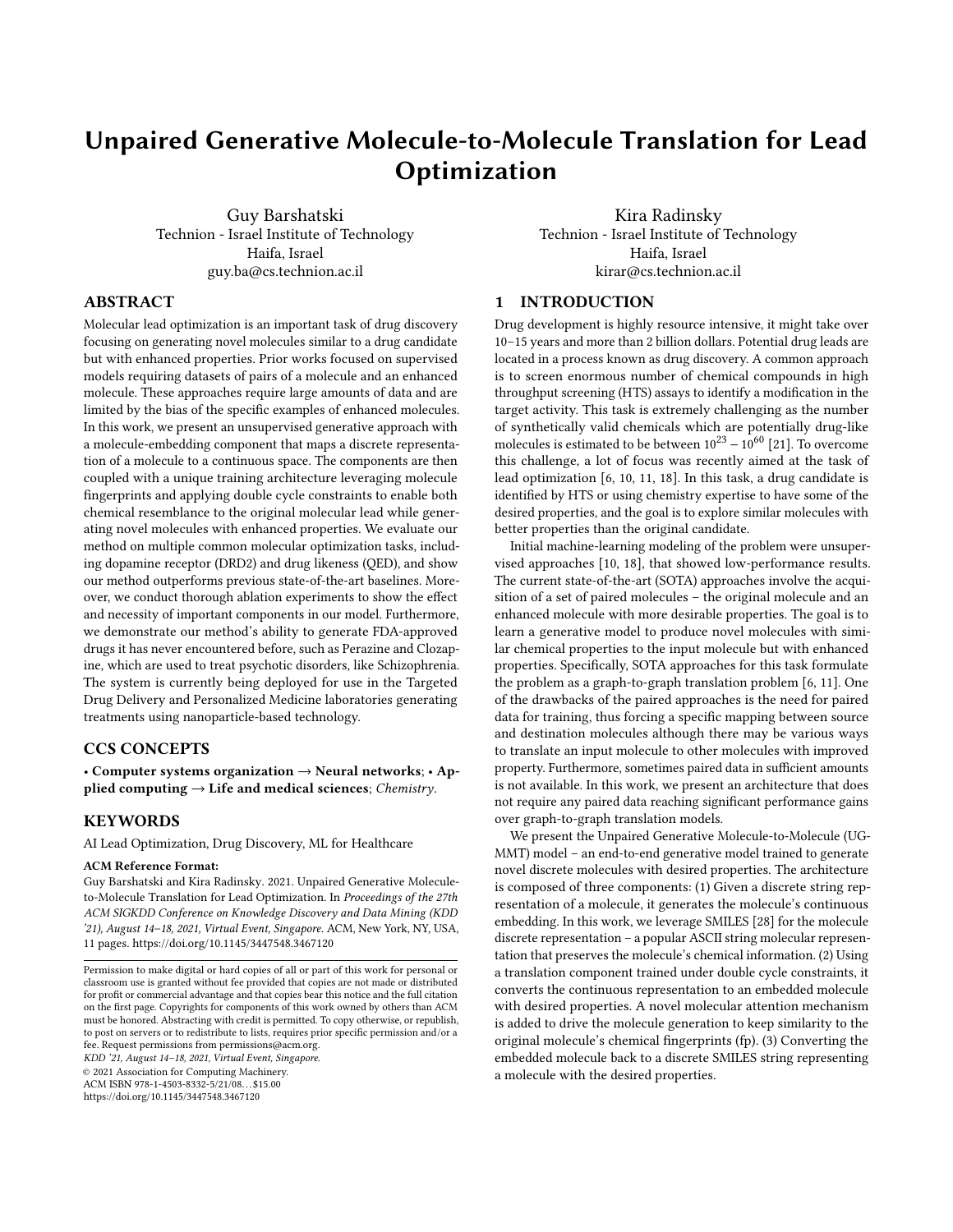manages to successfully meet both challenges. In order to fully verify the results, it is not enough to calculate the P-value. While it indicates whether an effect (statistical significant difference) exists, it does not reveal the size of the effect [\[26\]](#page-8-26). Furthermore, with a sufficient large sample, a statistical test will almost always demonstrate a significant difference, unless there is no effect whatsoever. Hence, in addition to the P-value, we calculate Cohen's d effect size [\[4\]](#page-8-27) and verify that our model's Success is statistically significant  $(P - value \ Y 0.05)$  and has huge effect size (Cohen's  $d \ i 2$ ) [\[24\]](#page-8-28) as compared to the other baselines.

#### <span id="page-6-0"></span>5.2 Ablation Experiments

We perform various ablation experiments on UGMMT models for each dataset (DRD2 and QED). Results are presented in Table [3.](#page-7-1)

(1) No Pre-train experiment, we evaluate the contribution of pre-training the METNs before training the end-to-end model. Pre-training the MENTs enables the preparation of the latent embedding space of domain  $A$  and domain  $B$  separately. Thus, we hypothesize that the encoders would produce better embeddings and the decoders in turn would produce more valid molecules with the enhanced property. In our ablation we validate this hypothesis and observe that the pre-training has higher effect in the DRD2 model. We conjecture this is due to the fact we pre-trained the DRD2 model for more epochs compared to the QED model. Additionally, we observe that although pre-training harms the novelty, it greatly improves the validity, the property and even has a positive effect on the similarity which leads to higher optimization success

(2) No EETN experiment, we evaluate the contribution of the EETN component. The architecture without EETN is composed of separately pre-trained METNs using the reconstruction and the KL loss. We then train the models together optimizing the reconstruction loss only. The inference path is  $En_A \rightarrow De_B$ . During training, each domain's decoder is specialized in generating molecules that hold the domain's property, thus the property is relatively high. However, nothing preserves the input-output chemical connection so their similarity and hence optimization success are low. This experiment shows that having two METNs, one for each domain, is extremely important, enabling excellent initial opening point for property enhancement. This principal of METNs specialization partially explains UGMMT's success comparing to other baselines.

(3) No fingerprints (fp) experiment, we evaluate the contribution of the fp component during the translation. We remove the usage of molecules's fingerprints so the translators inside the EETN receive only the embedding without the fp. We observe the fp-dependant translation reaches high similarity since it encourages the translators to embed chemically similar molecules next to each other preserving input-output similarity. Without the fp, the similarity is extremely low and as a result so is the optimization success. We notice the high property compared to the baseline model which shows that the model without the fp is highly focused on property optimization disregarding similarity to the original molecule. The high property and validity imply that the double cycle constraints indeed train the translators to produce better embeddings for the following components, e.g. the decoders. We hypothesize that the double cycle constraints during training and the fp usage are the key for UGMMT's success comparing to other baselines.

(4) Only fingerprints (fp) experiment, we wish to evaluate the necessity of the translators (EETN) and the embeddings that are jointly trained under the double cycle constraints. Given the results of the previous ablation test ("No fingerprints experiment"), one might claim that the only signal which is needed for molecule optimization is the source molecule fp. Hence, we designed a baseline which uses merely the molecule fp as the molecule embedding. We discard the training cycle that originates in  $A$  together with its encoder, decoder and the translators (EETN). For domain *B*, we remove the encoder and leave the decoder. The training is performed by training  $B$ 's decoder to generate a molecule from its fp. Then, during inference, given a source molecule, its fp is calculated and passed to B's decoder to generate the output molecule. This design makes sense since B's decoder is trained to produce molecules from domain  $B$  with the same fp. Meaning, a similar molecule but with the enhanced property. Observing the results, indeed the similarity is higher compared to the baseline, however the property is lower so the overall optimization success is significantly lower. Especially, we notice the DRD2 property which is extremely low and unacceptable for molecule optimization process. Note that the validity is much lower compared to the baseline as well. As a result, we conclude that although molecule's fp is a key signal in our model, it is not enough. The METNs (encoders and decoders) and EETN trained under the double cycle constraints are essential.

(5) Swap Cycle-fp experiment, we change the architecture s.t.  $T_{AB}$  always gets  $fp_a$  and  $T_{BA}$  always gets  $fp_b$  (changes lines 8 and 12 in Algorithm [2\)](#page-4-0). Although it might seem intuitive to insert the fp according to the translation direction of the translator, preserving the fp of the original molecule helps optimizing similarity to the input molecule. Swapping the fp, as we see in the results, has a destructive effect on the similarity and the optimization success. The property is relatively high as we already deduced from the "No fingerprints experiment" (ablation experiment number 3) that it is mostly connected to the none fp parts of the model, which we kept intact in this experiment.

(6) Add adversarial experiment, we wish to study the impact of adversarial training on our model, similar to Mol-CG. We train our model in an adversarial manner by treating the translators as generators and adding a discriminator for each domain. Each discriminator, e.g.  $B$ 's discriminator  $D_B$ , gets an embedded molecule and decides whether it is an original embedded molecule ,  $\ddot{Y} b$   $i \in \dot{Y} B$   $i$ , or an embedding of a translated molecule,  $\ddot{Y}b'$   $j \in \ddot{Y}B'$   $j$ , classifies it as "real" or "fake", respectively. Furthermore, KL loss terms are added to encourage dense and continuous embedding spaces for training stability and easier convergence. Please see Appendix C for more details. This model is an improved version of Mol-CG model. Similar to Mol-CG, this baseline also uses cycle constraints and adversarial training, but additionally we train METN for each domain and use molecule fp, both of which we found to have high importance. Furthermore, we apply the cycle constrains directly on the molecules and not the embeddings which is more effective and we also train the METNs together with the EETN which is more target optimized. Nevertheless, taking into account all these improvement over Mol-CG, we see that this ablation model has still worse performance compared to the baseline UGMMT model we propose. Particularly, the similarity and the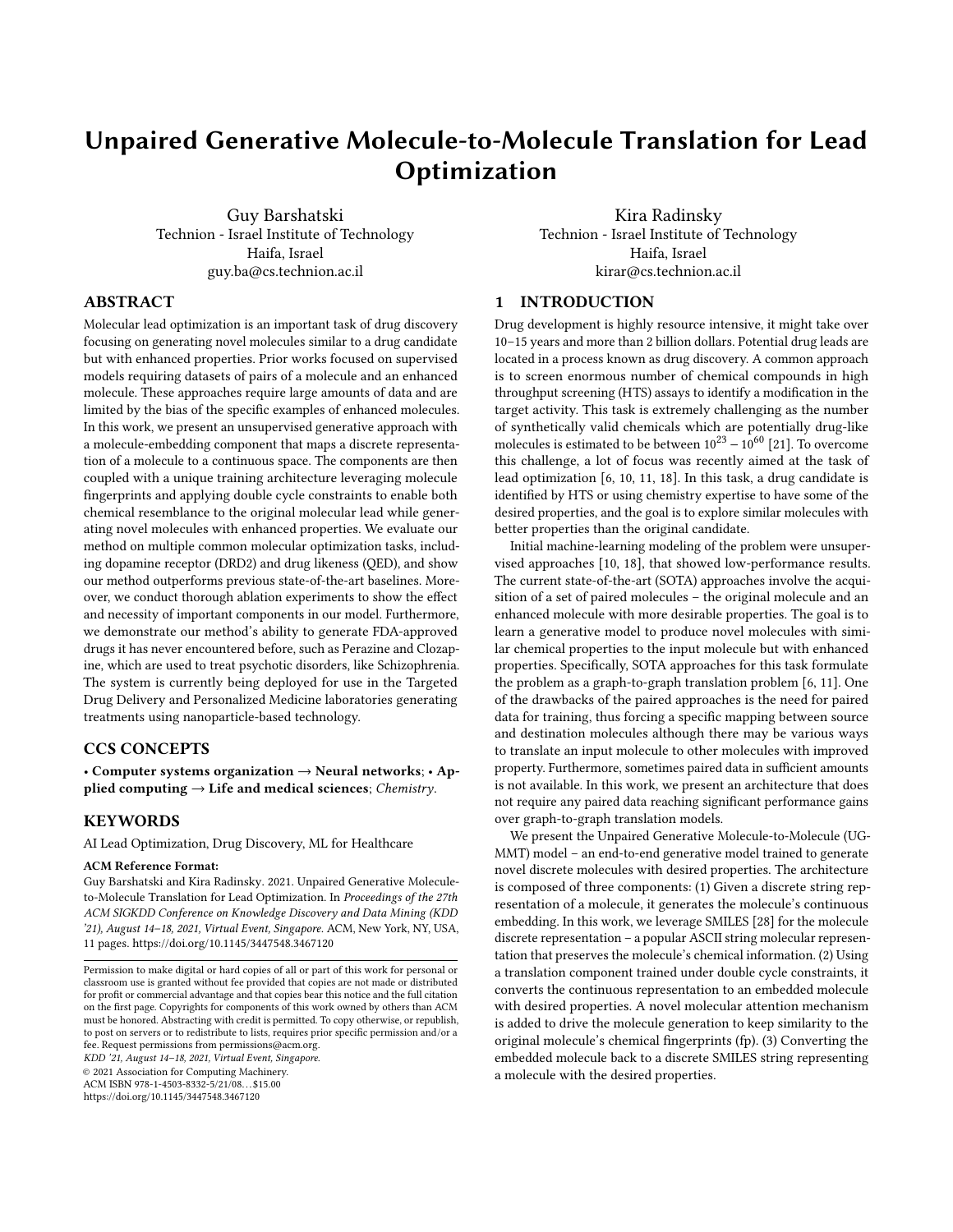<span id="page-7-1"></span>Table 3: Ablation experiment evaluation results of our method for P∈ {QED, DRD2} properties. In bold: best optimization Success result, statistically significant with huge effect size ( $P - value \dot{Y} 0.05$  and Cohen's  $d \dot{q} 2$ ).

|                  | P Method        | Property          | Similarity        | Novelty           | Success           | Validity | Diversity         |
|------------------|-----------------|-------------------|-------------------|-------------------|-------------------|----------|-------------------|
|                  | <b>UGMMT</b>    | $0.855 \pm 0.001$ | $0.365 \pm 0.003$ | $0.997 \pm 0.001$ | $0.513 \pm 0.009$ | 0.971    | $1.000 \pm 0.000$ |
|                  | No Pre-train    | $0.843 \pm 0.002$ | $0.332 \pm 0.002$ | $0.999 \pm 0.001$ | $0.431 \pm 0.009$ | 0.879    | $1.000 \pm 0.000$ |
|                  | No EETN         | $0.824 \pm 0.002$ | $0.126 \pm 0.001$ | $1.000 \pm 0.000$ | $0.001 \pm 0.001$ | 0.925    | $0.936 \pm 0.009$ |
|                  | No fp           | $0.903 \pm 0.001$ | $0.127 \pm 0.001$ | $0.977 \pm 0.005$ | $0.002 \pm 0.002$ | 1.000    | $0.995 \pm 0.002$ |
|                  | Only fp         | $0.808 \pm 0.002$ | $0.391 \pm 0.003$ | $0.989 \pm 0.002$ | $0.411 \pm 0.009$ | 0.782    | $1.000 \pm 0.000$ |
|                  | Swap Cycle fp   | $0.872 \pm 0.002$ | $0.124 \pm 0.001$ | $1.000 \pm 0.000$ | $0.001 \pm 0.001$ | 0.962    | $0.996 \pm 0.003$ |
|                  | Add Adversarial | $0.857 \pm 0.002$ | $0.299 \pm 0.002$ | $0.998 \pm 0.001$ | $0.344 \pm 0.008$ | 0.980    | $1.000 \pm 0.000$ |
|                  | <b>UGMMT</b>    | $0.826 \pm 0.009$ | $0.284 \pm 0.001$ | $0.799 \pm 0.009$ | $0.192 \pm 0.010$ | 1.000    | $0.914 \pm 0.007$ |
|                  | No Pre-train    | $0.505 \pm 0.006$ | $0.283 \pm 0.001$ | $0.988 \pm 0.003$ | $0.163 \pm 0.005$ | 0.582    | $0.992 \pm 0.002$ |
| DRD <sub>2</sub> | No EETN         | $0.836 \pm 0.008$ | $0.158 \pm 0.002$ | $0.812 \pm 0.013$ | $0.011 \pm 0.003$ | 1.000    | $0.508 \pm 0.006$ |
|                  | No fp           | $0.889 \pm 0.006$ | $0.159 \pm 0.001$ | $0.664 \pm 0.013$ | $0.010 \pm 0.003$ | 1.000    | $0.718 \pm 0.012$ |
|                  | Only fp         | $0.302 \pm 0.006$ | $0.279 \pm 0.001$ | $0.994 \pm 0.004$ | $0.085 \pm 0.007$ | 0.560    | $0.996 \pm 0.002$ |
|                  | Swap Cycle fp   | $0.809 \pm 0.009$ | $0.157 \pm 0.001$ | $0.883 \pm 0.011$ | $0.010 \pm 0.003$ | 0.997    | $0.408 \pm 0.006$ |
|                  | Add Adversarial | $0.796 \pm 0.009$ | $0.253 \pm 0.002$ | $0.889 \pm 0.006$ | $0.156 \pm 0.005$ | 0.998    | $0.939 \pm 0.008$ |

overall optimization success are lower. This explains the significant performance gap over Mol-CG in Section [5.1.](#page-4-2)

## <span id="page-7-0"></span>5.3 Optimized Drug Generation

Drug repositioning involves the exploration and improvement of existing drugs for new therapeutic purposes. We explore the use of our system for this purpose, where the input to the system is an existing drug and the goal is to produce a similar yet enhanced drug. CDN [\[8\]](#page-8-10), which is a sequence-based method for generating molecules, was the only algorithm attempting a similar task in the past. However, their task did not include the requirement of an enhanced property. We conduct a retrospective experiment using 1,897 FDA approved drugs. We ensured none of them was observed in the training or validation data. As we focus on existing drugs the enhancement of drug likeliness is less relevant and therefore we focus on DRD2 enhancement. We apply our DRD2 trained model (Sec. [5.1\)](#page-4-2) on every drug in the approved drugs set as prototype, and generate 100 drugs for each drug using 100 different random seeds.

<span id="page-7-2"></span>Table 4: Sample of automatically generated drugs along with their prototype drugs, their DRD2 score and fp similarity.

| Input        |                  | Generated       |                   |            |
|--------------|------------------|-----------------|-------------------|------------|
| Drug Name    | DRD <sub>2</sub> | Drug Name       | DR <sub>D</sub> 2 | Similarity |
| Pitavastatin | 0.0077           | Benperidol      | 1.0000            | 0.2651     |
| Anagrelide   | 0.0009           | Clozapine       | 0.8412            | 0.2096     |
| Dapiprazole  | 0.1885           | Aripiprazole    | 1.0000            | 0.2278     |
| Alimemazine  | 0.3749           | Perazine        | 0.6184            | 0.4000     |
| Terazosin    | 0.0028           | Iloperidone     | 1.0000            | 0.2556     |
| Doxepin      | 0.1607           | Amitriptyline   | 0.4743            | 0.6842     |
| Promazine    | 0.5579           | Triflupromazine | 0.9908            | 0.7073     |

We observe that although the chance of generating a drug using exhaustive search without constrains, e.g. HTS, is negligible, our method generates approximately one approved drug for every ∼3260 valid molecules generated. CDN for comparison reaches one drug per 14,596 generated molecules. Furthermore, the chance

of discovering a drug-drug pair when going over all the drug-valid molecule pairs is 0.05971% which is relatively significant compared to CDN, 0.01185%. We observe that the average generated drugs' DRD2 score is 0.879. For CDN, the average score is 0.124. We evaluate the average DRD2 score improvement on all the unique drug-drug pairs reaching an average property improvement of 0.627. The generated drugs show high similarity to their prototypes with an average of Tanimoto similarity of 0.3875.

We investigate the generated drugs and observe that many of the generated drugs are indeed used to treat psychotic disorders, like Schizophrenia. We remind the reader that D2 is the main receptor for most antipsychotic drugs [\[27\]](#page-8-6). Table [4](#page-7-2) presents a sample of the generated drugs.

We demonstrate our model's capability of generating FDA-approved drugs. Today, additional laboratory experiments are carried on novel molecules. The system is currently deployed for use in a personalized medicine and nanotechnology research laboratory, which is currently focusing on RNA based therapeutics [\[25\]](#page-8-29). We leverage RNA molecules to turn on and off pathogenic genes. Delivering these molecules to their destination is challenging and requires specific carrier molecules. Since a certain family of molecules already has some of the properties required for this task, our method is used to optimize them and generate novel carrier molecules. The generated molecules are currently being evaluated by the chemists. The most promising molecules would be synthesized and pass to advanced chemical trials.

# 6 CONCLUSIONS

We have recently witnessed the urgent need for accelerating the drug discovery process, e.g. COVID-19 drug. Lead optimization is one of the most important steps in the drug discovery chain. First, initial set of hits is identified through the HTS or expert-driven process. Next, in the hit-to-lead step, the most promising hits are selected to advance into the lead optimization stage, where the leads are chemically modified in order to improve biological activity and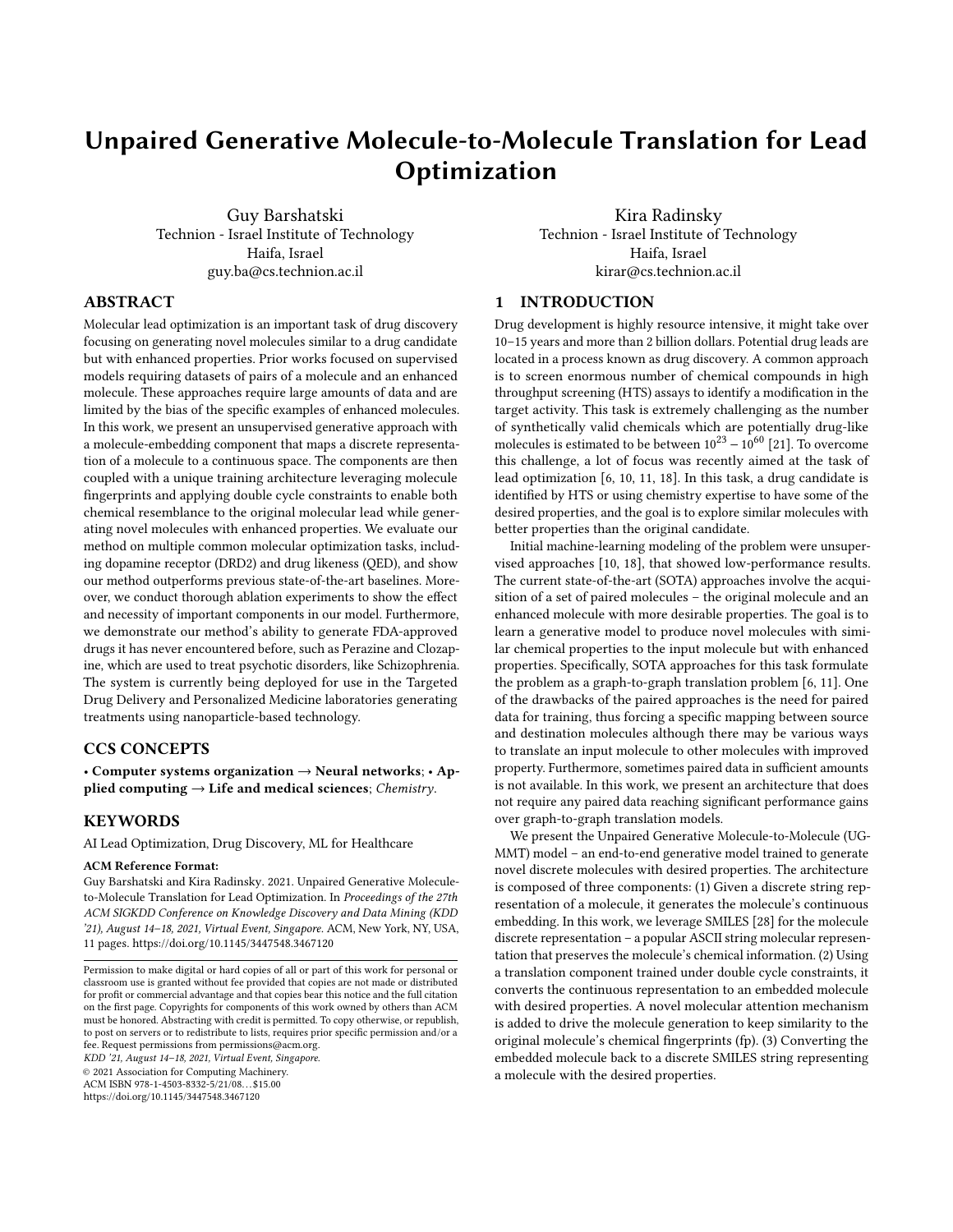Unpaired Generative Molecule-to-Molecule Translation for Lead Optimization Kables and American KDD '21, August 14–18, 2021, Virtual Event, Singapore.

other critical properties. However, this is a very lengthy and expensive process. The first computational models for this challenge addressed the molecule generation process as a sequence-to-sequence generation problem, representing molecules as sequences of characters, most commonly, SMILES notation was used [\[5,](#page-8-8) [7,](#page-8-9) [8,](#page-8-10) [15\]](#page-8-11). These models mainly focused on valid molecules generation, thus creating molecules unrelated to a target. To overcome this barrier, computational models were introduced for molecular lead optimization, which describes generating molecules similar to a drug candidate but with enhanced properties. The SMILES notation was abandoned, molecules were seen as graphs and the lead optimization was reformulated as a graph-to-graph translation problem [\[6,](#page-8-1) [10,](#page-8-2) [11,](#page-8-3) [18\]](#page-8-4). This approach is currently the SOTA, demonstrating impressive optimization results. In our work, we use the simple, yet powerful, SMILES notation and design an end-to-end lead optimization model, combines molecule embedding, fp and unique training technique, which leverages SMILES notation to generate high quality novel molecules and even FDA-approved drugs. Our model outperforms the SOTA, generating more successful molecules with higher

desired property score. Our work may revolutionize the field of computational molecule generation, bringing the focus back to the sequence generation methods. Unlike prior works that required paired supervised data for train-

ing, we propose an unsupervised deep generative method for molecule translation, i.e., bidirectional optimization with no paired data required. The model is unique in its ability to simultaneously translate between discrete molecule representation and a continuous representation coupled with a double cycle constrained training technique with shared translation components that leverage molecule fp to gain both resemblance to the original molecular lead and generation of novel molecules with enhanced properties. The algorithm shows significant performance gains in the success of generating novel optimized molecules that share similarity with a prototype. We conduct comprehensive ablation experiments supporting UG-MMT's analysis and architecture design. Finally, we demonstrated UGMMT's ability of generating target-based approved drugs it has never encountered before. The system is currently being deployed for use in pharmaceutical laboratories to further analyze the additional generated molecules. We believe our method lays strong foundations to an automatic-algorithmic HTS process to enable lead optimizations without the need for large paired training datasets.

#### REFERENCES

- <span id="page-8-25"></span>[1] Dávid Bajusz, Anita Rácz, and Károly Héberger. 2015. Why is Tanimoto index an appropriate choice for fingerprint-based similarity calculations? Journal of Cheminformatics 7 (05 2015).
- <span id="page-8-22"></span>[2] Richard Bickerton, Gaia Paolini, Jérémy Besnard, Sorel Muresan, and Andrew Hopkins. 2012. Quantifying the chemical beauty of drugs. Nature chemistry 4 (02 2012), 90–8.
- <span id="page-8-14"></span>[3] Kyunghyun Cho, Bart van Merriënboer, Caglar Gulcehre, Dzmitry Bahdanau, Fethi Bougares, Holger Schwenk, and Yoshua Bengio. 2014. Learning Phrase Representations using RNN Encoder–Decoder for Statistical Machine Translation. In Proceedings of the 2014 Conference on Empirical Methods in Natural Language Processing (EMNLP). Association for Computational Linguistics, Doha, Qatar, 1724–1734.
- <span id="page-8-27"></span>[4] J. Cohen. 1988. Statistical Power Analysis for the Behavioral Sciences. Lawrence Erlbaum Associates.
- <span id="page-8-8"></span>[5] Hanjun Dai, Yingtao Tian, Bo Dai, Steven Skiena, and Le Song. 2018. Syntax-Directed Variational Autoencoder for Structured Data. In International Conference on Learning Representations.
- <span id="page-8-1"></span>[6] Tianfan Fu, Cao Xiao, and Jimeng Sun. 2020. CORE: Automatic Molecule Optimization Using Copy & Refine Strategy. In 34th AAAI Conference on Artificial

Intelligence (AAAI-20).

- <span id="page-8-9"></span>[7] Rafael Gómez-Bombarelli, Jennifer N. Wei, David Duvenaud, José Miguel Hernández-Lobato, Benjamín Sánchez-Lengeling, Dennis Sheberla, Jorge Aguilera-Iparraguirre, Timothy D. Hirzel, Ryan P. Adams, and Alán Aspuru-Guzik. 2018. Automatic Chemical Design Using a Data-Driven Continuous Representation of Molecules. ACS Central Science 4, 2 (Jan 2018), 268–276.
- <span id="page-8-10"></span>[8] Shahar Harel and Kira Radinsky. 2018. Accelerating Prototype-Based Drug Discovery Using Conditional Diversity Networks. In Proceedings of the 24th ACM SIGKDD International Conference on Knowledge Discovery & Data Mining (London, United Kingdom) (KDD '18). 331–339.
- <span id="page-8-16"></span>[9] Di He, Yingce Xia, Tao Qin, Liwei Wang, Nenghai Yu, Tie-Yan Liu, and Wei-Ying Ma. 2016. Dual Learning for Machine Translation. In Proceedings of the 30th International Conference on Neural Information Processing Systems (Barcelona, Spain) (NIPS'16).
- <span id="page-8-2"></span>[10] Wengong Jin, Regina Barzilay, and Tommi Jaakkola. 2018. Junction Tree Variational Autoencoder for Molecular Graph Generation. In International Conference on Machine Learning. 2323–2332.
- <span id="page-8-3"></span>[11] Wengong Jin, Kevin Yang, Regina Barzilay, and Tommi Jaakkola. 2019. Learning Multimodal Graph-to-Graph Translation for Molecule Optimization. In International Conference on Learning Representations.
- <span id="page-8-21"></span>[12] Justin Johnson, Alexandre Alahi, and Li Fei-Fei. 2016. Perceptual losses for realtime style transfer and super-resolution. In European Conference on Computer Vision.
- <span id="page-8-19"></span>[13] Diederik P. Kingma and Jimmy Ba. 2015. Adam: A Method for Stochastic Optimization. In 3rd International Conference on Learning Representations, ICLR 2015, San Diego, CA, USA, May 7-9, 2015, Conference Track Proceedings.
- <span id="page-8-13"></span>[14] Diederik P. Kingma and Max Welling. 2014. Auto-Encoding Variational Bayes.. In ICLR, Yoshua Bengio and Yann LeCun (Eds.).
- <span id="page-8-11"></span>[15] Matt J. Kusner, Brooks Paige, and José Miguel Hernández-Lobato. 2017. Grammar Variational Autoencoder. In Proceedings of the 34th International Conference on Machine Learning - Volume 70 (Sydney, NSW, Australia) (ICML'17). 1945–1954. [16] G Landrum. 2016. Rdkit: Open-source cheminformatics software.
- <span id="page-8-23"></span><span id="page-8-20"></span>
- [17] Ilya Loshchilov and Frank Hutter. 2019. Decoupled Weight Decay Regularization. In International Conference on Learning Representations.
- <span id="page-8-4"></span>[18] Łukasz Maziarka, Agnieszka Pocha, Jan Kaczmarczyk, Krzysztof Rataj, Tomasz Danel, and Michał Warchoł. 2020. Mol-CycleGAN: a generative model for molecular optimization. Journal of Cheminformatics 12 (12 2020).
- <span id="page-8-7"></span>[19] World Health Organization. 2019. World Health Organization model list of essential medicines: 21st list 2019. Technical documents. 60 p. pages.
- <span id="page-8-18"></span>[20] Adam Paszke, Sam Gross, Francisco Massa, Adam Lerer, James Bradbury, Gregory Chanan, Trevor Killeen, Zeming Lin, Natalia Gimelshein, Luca Antiga, Alban Desmaison, Andreas Kopf, Edward Yang, Zachary DeVito, Martin Raison, Alykhan Tejani, Sasank Chilamkurthy, Benoit Steiner, Lu Fang, Junjie Bai, and Soumith Chintala. 2019. PyTorch: An Imperative Style, High-Performance Deep Learning Library. In Advances in Neural Information Processing Systems 32. 8026–8037.
- <span id="page-8-0"></span>[21] Pavel G Polishchuk, Timur I Madzhidov, and Alexandre Varnek. 2013. Estimation of the size of drug-like chemical space based on GDB-17 data. Journal of computeraided molecular design 27, 8 (2013), 675–679.
- <span id="page-8-30"></span>[22] Alec Radford, Luke Metz, and Soumith Chintala. 2016. Unsupervised Representation Learning with Deep Convolutional Generative Adversarial Networks. In 4th International Conference on Learning Representations, ICLR 2016, San Juan, Puerto Rico, May 2-4, 2016, Conference Track Proceedings.
- <span id="page-8-17"></span>[23] D. Rogers and Mathew Hahn. 2010. Extended-Connectivity Fingerprints. Journal of chemical information and modeling 50 5 (2010), 742–54.
- <span id="page-8-28"></span>[24] Shlomo Sawilowsky. 2009. New Effect Size Rules of Thumb. Journal of Modern Applied Statistical Methods 8 (11 2009), 597–599.
- <span id="page-8-29"></span>[25] Ryan Setten, John Rossi, and Si-ping Han. 2019. The current state and future directions of RNAi-based therapeutics. Nature Reviews Drug Discovery 18 (03 2019), 1.
- <span id="page-8-26"></span>[26] Gail Sullivan and Richard Feinn. 2012. Using Effect Size—or Why the P Value Is Not Enough. Journal of graduate medical education 4 (09 2012), 279–82.
- <span id="page-8-6"></span>[27] Sheng Wang, Tao Che, Anat Levit, Brian Shoichet, Daniel Wacker, and Bryan Roth. 2018. Structure of the D2 dopamine receptor bound to the atypical antipsychotic drug risperidone. Nature 555 (03 2018), 269–273.
- <span id="page-8-5"></span>[28] David Weininger. 1988. SMILES, a chemical language and information system. 1. Introduction to methodology and encoding rules. Journal of chemical information and computer sciences 28, 1 (1988), 31–36.
- <span id="page-8-15"></span>[29] R. J. Williams and D. Zipser. 1989. A Learning Algorithm for Continually Running Fully Recurrent Neural Networks. Neural Computation 1, 2 (1989), 270–280.
- <span id="page-8-24"></span>[30] David S Wishart, Craig Knox, An Chi Guo, Savita Shrivastava, Murtaza Hassanali, Paul Stothard, Zhan Chang, and Jennifer Woolsey. 2006. DrugBank: a comprehensive resource for in silico drug discovery and exploration. Nucleic acids research 34, suppl\_1 (2006), D668–D672.
- <span id="page-8-12"></span>[31] J. Zhu, T. Park, P. Isola, and A. A. Efros. 2017. Unpaired Image-to-Image Translation Using Cycle-Consistent Adversarial Networks. In 2017 IEEE International Conference on Computer Vision (ICCV). 2242–2251.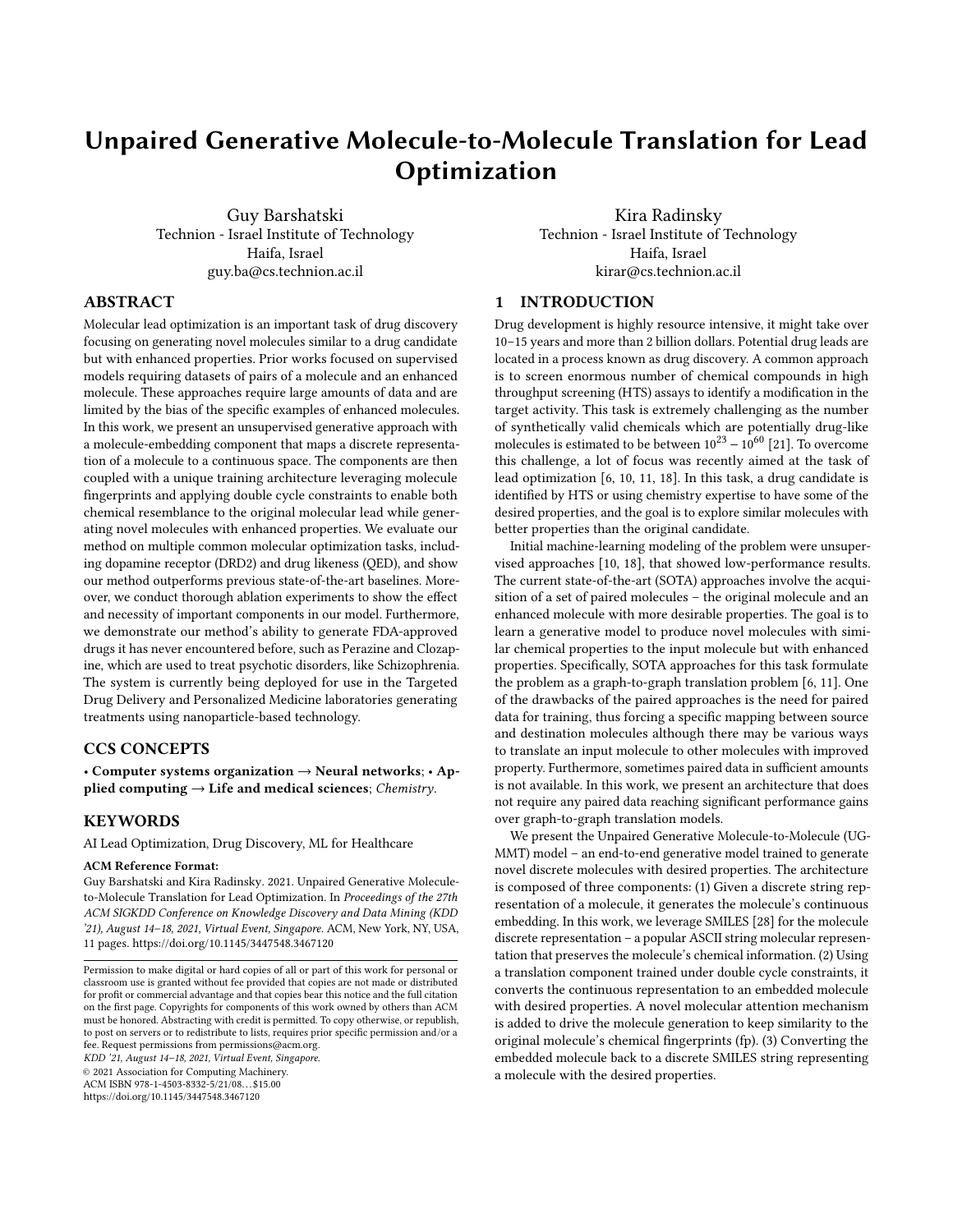KDD '21, August 14–18, 2021, Virtual Event, Singapore. Guy Barshatski et al.

# A FULL IMPLEMENTATION DETAILS

We run all training and experiments on Ubuntu 18.04.5 using one Nvidia GeForce RTX 2080 Ti 11GB GPU, two Intel Xeon Gold 6230 2.10GHZ CPUs and 64GB RAM memory. We use Pytorch 1.4.0 API [\[20\]](#page-8-18), Python 3.6.12 for UGMMT model training and experiments. Other baselines are trained using their publicly available implementation with the setting they set and reported in their papers. Our code and data are publicly available on our GitHub. See file README.md for installation, training, ablation experiments and inference instructions. Our model depends on randomness, we set seed 50 for reproducibility, other seeds lead to close results as well. However, small variations in the results might occur following different training sessions. The source of variation is in the EETN networks, probably due to PyTorch functions that use CUDA functions that can be a source of non-determinism (e.g. atomic operations), it is a known problem in the community and we are trying to handle it. Some hyper-parameters are set following evaluation on the validation set, the metric is the optimization Success. Values we experimented with are specified in the brackets beside each hyper-parameter.

METN: Latent space dimension (embedding dimension) 256 (experimented with 128, 256, 512),  $\lambda_0$ =10 (experimented with 1, 10, 20), max molecule length during test 90 (experimented with 80-120). Encoder – bidirectional GRU with 1 layer, hidden dimension 256  $(En, h_d)$ , followed by 2 fully-connected layers with 256 neurons, one for  $\mu$  and one for  $\sigma$ . Decoder – fully-connected layer with 512 neurons, then unidirectional GRU with 3 layers (experimented with 1-5), dropout 0.5 between layers, hidden dimension 512 (De,  $h_d$ ) and a fully-connected layer with vocabulary length number of neurons.

METN's training: Optimizer – Adam algorithm [\[13\]](#page-8-19). Learning rate – Cosine annealing scheduler with restart [\[17\]](#page-8-20) after 10 epochs, initial learning rate 3  $\cdot 10^{-3}$  (experimented with  $1 \cdot 10^{-3}$ -5 $\cdot 10^{-3}$ ), final learning rate 3 · 10−<sup>4</sup> . Weights initialization – GRU's weights uniformly distributed ranging from  $-h_d^{-1}$  to  $h_d^{-1}$ , linear layer's weights uniformly distributed ranging from  $-f_{in}^{-1}$  to  $f_{in}^{-1}$ , where  $f_{in}$  is the number of input features. Mini-batch size 32 and trained for  $E_{METN} = 1$  (QED) (experimented with 0-10) or  $E_{METN} = 12$ (DRD2) (experimented with 0-20) epochs before training the whole model together. Trained using the teacher-forcing method [\[29\]](#page-8-15) in order to increase validity.

EETN: Translator – Bottleneck structure, i.e. downsampling followed by upsampling. Contains initial convolution block (filter size 7), stride-2 convolution block for downsampling (filter size 3), 4 residual blocks (experimented with 4-8), stride-2 transposed convolution block for upsampling (filter size 3), final convolution layer (filter size 7) followed by Tanh layer and 2 fully connected layers with 1,152 and 256 neurons separated by batch normalization, LeakyReLU and Dropout (0.2) layers (all convolution blocks contain instance normalization and ReLU layers). This type of structures showed outstanding results in image translation and style transfer tasks [\[12,](#page-8-21) [31\]](#page-8-12).

We pass molecule's fingerprints through a basic attention mechanism consists of a fully-connected layer followed by a softmax layer to generate a weights vector, which multiplies the fingerprints vector elementwise, highlighting the "important" information inside the fingerprints vector. Embedded molecule and molecule's

weighted fingerprints vector are concatenated before applying the Translator.

Whole model training: Optimizer – Adam algorithm. Learning rate - LambdaLR scheduler with initial learning rate 3 · 10−<sup>4</sup> (experimented with  $1 \cdot 10^{-4}$ -5 $\cdot 10^{-4}$ ) and linear decay towards 0 from epoch 90 (experimented with 70-100). Weights initialization – from zero-centered normal distribution with a standard deviation of 0.02 [\[22\]](#page-8-30). Mini-batch size 32. Maximal epochs for training  $E_{max}=120$  (experimented with 80-120). Training data is shuffled during training, in addition, to further reduce overfitting and improve generalization, we evaluate our model every  $V_f = 3$  epochs on the validation set and save a checkpoint only if improvement in the criterion is achieved. Furthermore, we add early stopping mechanism, i.e. if this criterion does not improve for  $P=15$  evaluations, we stop the training. Regularization hyper-parameter  $\lambda_1=2$  (experimented with 1,2,4,8,16).

### B FULL DATASETS DETAILS

We provide experiments demonstrating our model's capability of molecule and drug optimization. Hence we use two different datasets.

(1) Molecule Dataset: The current SOTA method in molecule optimization is CORE [\[6\]](#page-8-1). Therefore we use their datasets, which were adapted from [\[11\]](#page-8-3) and are publicly available on their GitHub<sup>[2](#page-9-0)</sup>.

Train set: These datasets are paired, designed for supervised models, however UGMMT, CDN, JTVAE and Mol-CG are unsupervised. Hence we use the paired train set to construct unpaired train set. UGMMT method requires 2 input sets, set for domain A which contains low property molecules and set for domain  $B$  which contains high property molecules. We construct these by unpairing the pairs, removing duplicates and then for each molecule we calculate its property score {DRD2, QED} and add it to the relevant set if the score exceeds a certain threshold. i.e., the molecule is added to set  $A$  if its property score is lower than domain's A threshold and it is added to set  $B$  if its property score is higher than domain's  $B$ threshold. In order to avoid unbalanced domains issues we randomly sample equal number of molecules from each set and thus obtain the final train set for  $A$  and  $B$ . Since JTVAE and CDN require only one training set, we merge  $A$ 's and B's train sets to one set and use it to train them. We set empirically the following domain thresholds: DRD2 – A 0.02 (experimented with 0.01-0.2) ; B 0.85 (experimented with 0.75-0.9) / QED – A 0.78 (experimented with 0.75-0.8) ; B 0.91 (experimented with 0.88-0.93), other thresholds yield similar results. All dataset files are located inside dataset/DRD2 and dataset/QED folders on our GitHub. Details:

UGMMT and Mol-CG– The train sets contain 2,097 molecules for DRD2 and 8,968 molecules for QED (in each set among  ${A, B}$ ). Files names: A\_train.txt and B\_train.txt.

CDN and JTVAE– The train sets contain 4,194 molecules for DRD2 and 17,936 molecules for QED.

Files names: DRD2\_mergedAB\_specific\_train.txt and QED\_mergedAB\_specific\_train.txt.

<span id="page-9-0"></span><sup>2</sup><https://github.com/wengong-jin/iclr19-graph2graph>